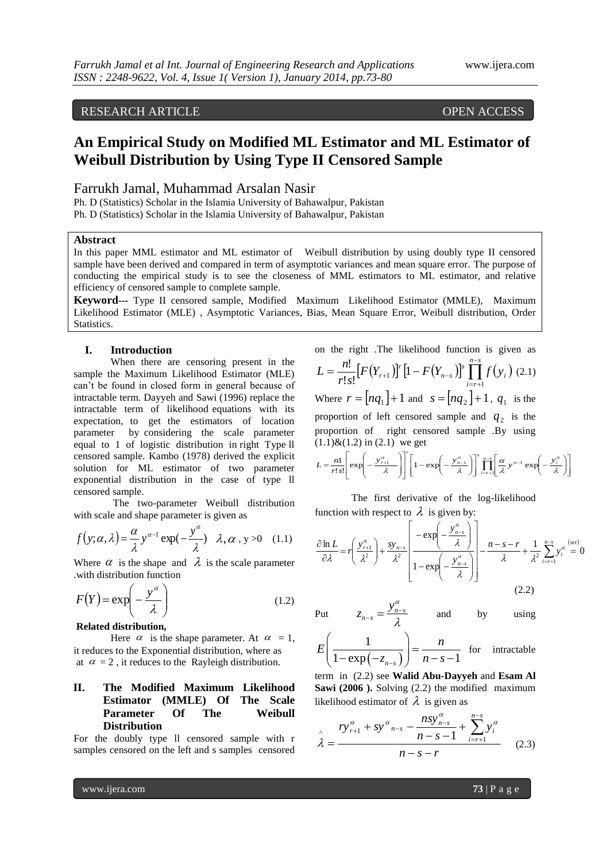### RESEARCH ARTICLE OPEN ACCESS

# **An Empirical Study on Modified ML Estimator and ML Estimator of Weibull Distribution by Using Type II Censored Sample**

### Farrukh Jamal, Muhammad Arsalan Nasir

Ph. D (Statistics) Scholar in the Islamia University of Bahawalpur, Pakistan Ph. D (Statistics) Scholar in the Islamia University of Bahawalpur, Pakistan

### **Abstract**

In this paper MML estimator and ML estimator of Weibull distribution by using doubly type II censored sample have been derived and compared in term of asymptotic variances and mean square error. The purpose of conducting the empirical study is to see the closeness of MML estimators to ML estimator, and relative efficiency of censored sample to complete sample.

**Keyword---** Type II censored sample, Modified Maximum Likelihood Estimator (MMLE), Maximum Likelihood Estimator (MLE) , Asymptotic Variances, Bias, Mean Square Error, Weibull distribution, Order Statistics.

#### **I. Introduction**

When there are censoring present in the sample the Maximum Likelihood Estimator (MLE) can't be found in closed form in general because of intractable term. Dayyeh and Sawi (1996) replace the intractable term of likelihood equations with its expectation, to get the estimators of location parameter by considering the scale parameter equal to 1 of logistic distribution in right Type ll censored sample. Kambo (1978) derived the explicit solution for ML estimator of two parameter exponential distribution in the case of type ll censored sample.

The two-parameter Weibull distribution with scale and shape parameter is given as

$$
f(y; \alpha, \lambda) = \frac{\alpha}{\lambda} y^{\alpha - 1} \exp(-\frac{y^{\alpha}}{\lambda}) \quad \lambda, \alpha, y > 0 \quad (1.1)
$$

Where  $\alpha$  is the shape and  $\lambda$  is the scale parameter .with distribution function

$$
F(Y) = \exp\left(-\frac{y^{\alpha}}{\lambda}\right) \tag{1.2}
$$

#### **Related distribution,**

Here  $\alpha$  is the shape parameter. At  $\alpha = 1$ , it reduces to the Exponential distribution, where as at  $\alpha = 2$ , it reduces to the Rayleigh distribution.

### **II. The Modified Maximum Likelihood Estimator (MMLE) Of The Scale Parameter Of The Weibull Distribution**

For the doubly type ll censored sample with r samples censored on the left and s samples censored

on the right. The likelihood function is given as  
\n
$$
L = \frac{n!}{r!s!} [F(Y_{r+1})]^r [1 - F(Y_{n-s})]^s \prod_{i=r+1}^{n-s} f(y_i) (2.1)
$$
\nWhere  $r = [nq_1] + 1$  and  $s = [nq_2] + 1$ ,  $q_1$  is the proportion of left censored sample and  $q_2$  is the proportion of right censored sample. By using (1.1)&(1.2) in (2.1) we get

$$
L = \frac{n!}{r!s!} \left[ \exp\left(-\frac{y_{r+1}^{\alpha}}{\lambda}\right) \right]^{r} \left[1 - \exp\left(-\frac{y_{n-s}^{\alpha}}{\lambda}\right) \right] \prod_{i=r+1}^{n-s} \left[\frac{\alpha}{\lambda} y^{\alpha-1} \exp\left(-\frac{y_{i}^{\alpha}}{\lambda}\right) \right]
$$

The first derivative of the log-likelihood function with respect to  $\lambda$  is given by:

$$
\frac{\partial \ln L}{\partial \lambda} = r \left( \frac{y_{r+1}^{\alpha}}{\lambda^2} \right) + \frac{sy_{n-s}}{\lambda^2} \left[ \frac{-\exp\left(-\frac{y_{n-s}^{\alpha}}{\lambda}\right)}{1 - \exp\left(-\frac{y_{n-s}^{\alpha}}{\lambda}\right)} \right] - \frac{n - s - r}{\lambda} + \frac{1}{\lambda^2} \sum_{i=r+1}^{n-s} y_i^{\alpha} \stackrel{\text{(set)}}{=} 0 \tag{2.2}
$$

Put 
$$
z_{n-s} = \frac{y_{n-s}^{\alpha}}{\lambda}
$$

*E*

1

 $\lambda_{-s} = \frac{y_{n-s}}{2}$  and by using

$$
\left(\frac{1}{1-\exp(-z_{n-s})}\right) = \frac{n}{n-s-1}
$$
 for intractable

term in (2.2) see **Walid Abu-Dayyeh** and **Esam Al Sawi (2006 ).** Solving (2.2) the modified maximum likelihood estimator of  $\lambda$  is given as

 $y_n^{\alpha}$ 

λ

$$
\hat{\lambda} = \frac{r y_{r+1}^{\alpha} + s y_{n-s}^{\alpha} - \frac{n s y_{n-s}^{\alpha}}{n - s - 1} + \sum_{i=r+1}^{n-s} y_i^{\alpha}}{n - s - r}
$$
(2.3)

 $\alpha$ 

www.ijera.com **73** | P a g e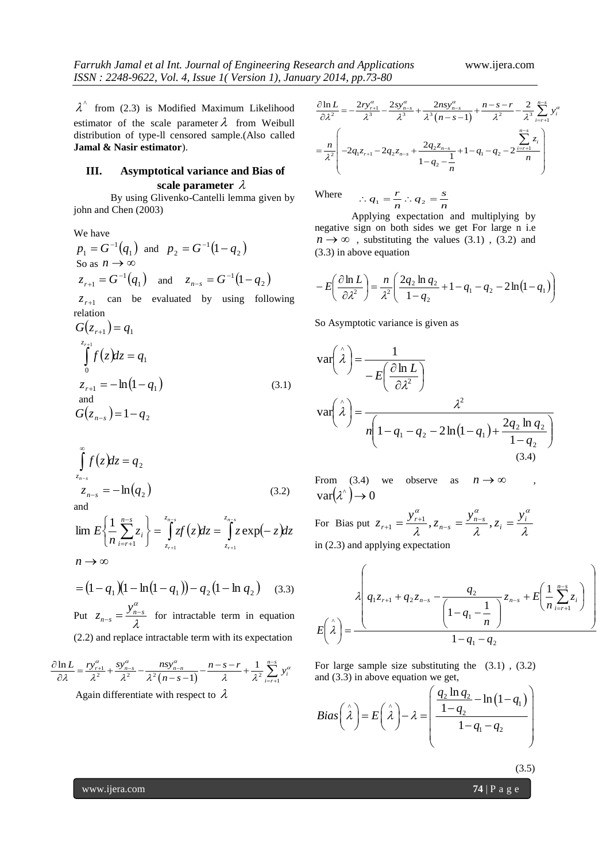$\lambda^{\hat{ }}$  from (2.3) is Modified Maximum Likelihood estimator of the scale parameter  $\lambda$  from Weibull distribution of type-ll censored sample.(Also called **Jamal & Nasir estimator**).

### **III. Asymptotical variance and Bias of scale parameter**

By using Glivenko-Cantelli lemma given by john and Chen (2003)

We have  $p_1 = G^{-1}(q_1)$  and  $p_2 = G^{-1}(1-q_2)$ So as  $n \to \infty$  $z_{r+1} = G^{-1}(q_1)$  $z_{n-s} = G^{-1}(q_1)$  and  $z_{n-s} = G^{-1}(1-q_2)$ -

 $z_{r+1}$  can be evaluated by using following relation

$$
G(z_{r+1}) = q_1
$$
  
\n
$$
\int_{0}^{z_{r+1}} f(z)dz = q_1
$$
  
\n
$$
z_{r+1} = -\ln(1 - q_1)
$$
  
\nand  
\n
$$
G(z_{n-s}) = 1 - q_2
$$
 (3.1)

$$
\int_{z_{n-s}}^{\infty} f(z) dz = q_2
$$
  
\n
$$
z_{n-s} = -\ln(q_2)
$$
 (3.2)  
\nand

$$
\lim_{n \to \infty} E\left\{\frac{1}{n}\sum_{i=r+1}^{n-s} z_i\right\} = \int_{z_{r+1}}^{z_{n-s}} z f(z) dz = \int_{z_{r+1}}^{z_{n-s}} z \exp(-z) dz
$$

$$
= (1 - q_1)(1 - \ln(1 - q_1)) - q_2(1 - \ln q_2) \quad (3.3)
$$

Put  $z_{n-s} = \frac{y_{n-s}}{2}$  $z_{n-s} = \frac{y_{n-s}^{\alpha}}{\lambda}$  $f_{-s} = \frac{y_{n-s}}{2}$  for intractable term in equation

(2.2) and replace intractable term with its expectation  
\n
$$
\frac{\partial \ln L}{\partial \lambda} = \frac{ry_{r+1}^{\alpha}}{\lambda^2} + \frac{sy_{n-s}^{\alpha}}{\lambda^2} - \frac{nsy_{n-n}^{\alpha}}{\lambda^2 (n-s-1)} - \frac{n-s-r}{\lambda} + \frac{1}{\lambda^2} \sum_{i=r+1}^{n-s} y_i^{\alpha}
$$
\nAgain differentiate with respect to  $\lambda$ 

$$
y \ 2014, pp.73-80
$$
\n
$$
\frac{\partial \ln L}{\partial \lambda^2} = -\frac{2ry_{r+1}^{\alpha}}{\lambda^3} - \frac{2sy_{n-s}^{\alpha}}{\lambda^3} + \frac{2nsy_{n-s}^{\alpha}}{\lambda^3 (n-s-1)} + \frac{n-s-r}{\lambda^2} - \frac{2}{\lambda^3} \sum_{i=r+1}^{n-s} y_i^{\alpha}
$$
\n
$$
= \frac{n}{\lambda^2} \left( -2q_1 z_{r+1} - 2q_2 z_{n-s} + \frac{2q_2 z_{n-s}}{1 - q_2 - \frac{1}{n}} + 1 - q_1 - q_2 - 2 \frac{z_{n-s}^{\alpha}}{n} \right)
$$

Where *n*  $\frac{r}{n}$  :  $q_2 = \frac{s}{n}$  $\therefore q_1 = \frac{r}{r} \therefore q_2 =$ 

Applying expectation and multiplying by negative sign on both sides we get For large n i.e  $n \to \infty$ , substituting the values (3.1), (3.2) and (3.3) in above equation

$$
-E\left(\frac{\partial \ln L}{\partial \lambda^2}\right) = \frac{n}{\lambda^2} \left(\frac{2q_2 \ln q_2}{1-q_2} + 1 - q_1 - q_2 - 2\ln(1-q_1)\right)
$$

So Asymptotic variance is given as

$$
\operatorname{var}\left(\hat{\lambda}\right) = \frac{1}{-E\left(\frac{\partial \ln L}{\partial \lambda^2}\right)}
$$

$$
\operatorname{var}\left(\hat{\lambda}\right) = \frac{\lambda^2}{n\left(1 - q_1 - q_2 - 2\ln(1 - q_1) + \frac{2q_2 \ln q_2}{1 - q_2}\right)}
$$
(3.4)

From (3.4) we observe as  $n \to \infty$ ,  $var(\lambda^{\wedge}) \rightarrow 0$ 

For Bias put  $z_{r+1} = \frac{z_{r+1}}{\lambda}, z_{n-s} = \frac{z_{n-s}}{\lambda}, z_i = \frac{z_i}{\lambda}$  $z_{r+1} = \frac{y_{r+1}^{\alpha}}{2}, z_{n-s} = \frac{y_{n-s}^{\alpha}}{2}, z_i = \frac{y_i^{\alpha}}{2}$  $z_{r+1} = \frac{y_{r+1}^{\alpha}}{2}, z_{n-s} = \frac{y_{n-s}^{\alpha}}{2}, z_i = \frac{y_{n-s}^{\alpha}}{2}$ in (2.3) and applying expectation

$$
E\left(\hat{\lambda}\right) = \frac{\left(q_1 z_{r+1} + q_2 z_{n-s} - \frac{q_2}{\left(1 - q_1 - \frac{1}{n}\right)} z_{n-s} + E\left(\frac{1}{n} \sum_{i=r+1}^{n-s} z_i\right)\right)}{1 - q_1 - q_2}
$$

For large sample size substituting the (3.1) , (3.2) we get,<br>  $\left(\frac{q_2 \ln q_2}{q_2 - \ln(1 - a_1)}\right)$ 

For large sample size substituting the (3.1), (3.2)  
and (3.3) in above equation we get,  

$$
Bias\left(\hat{\lambda}\right) = E\left(\hat{\lambda}\right) - \lambda = \left(\frac{q_2 \ln q_2}{1 - q_2} - \ln(1 - q_1)\right)
$$

 $(3.5)$ 

www.ijera.com **74** | P a g e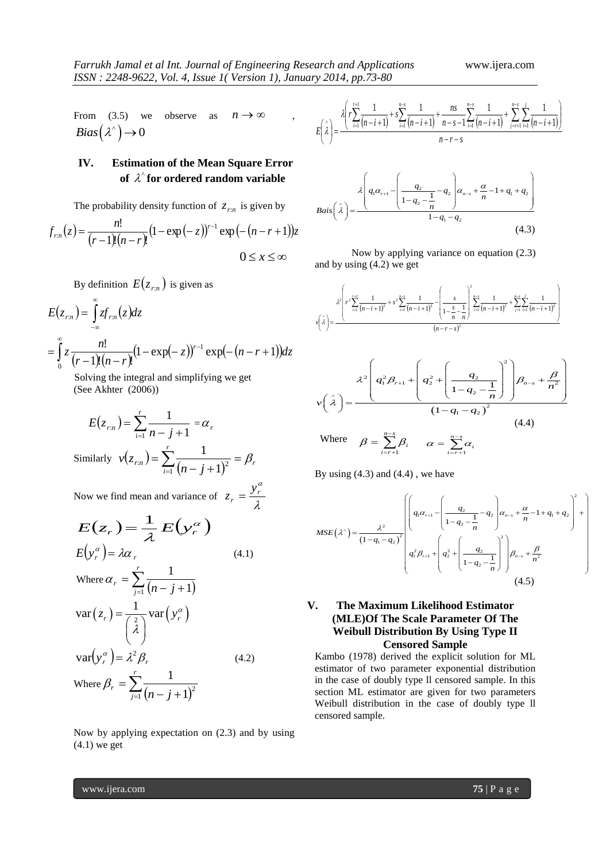From  $(3.5)$  we observe as  $n \rightarrow \infty$  $Bias(\lambda^*)\to 0$ 

## **IV. Estimation of the Mean Square Error of**  ^ **for ordered random variable**

The probability density function of  $z_{rn}$  is given by

$$
f_{rn}(z) = \frac{n!}{(r-1)!(n-r)!} (1 - \exp(-z))^{r-1} \exp(-(n-r+1))z
$$
  
0 \le x \le \infty

By definition  $E(z_{rn})$  is given as

$$
E(z_{rn}) = \int_{-\infty}^{\infty} z f_{rn}(z) dz
$$
  
= 
$$
\int_{0}^{\infty} z \frac{n!}{(r-1)!(n-r)!} (1 - \exp(-z))^{r-1} \exp(-(n-r+1)) dz
$$

 Solving the integral and simplifying we get (See Akhter (2006))

$$
E(z_{rn}) = \sum_{i=1}^{r} \frac{1}{n - j + 1} = \alpha_r
$$
  
Similarly  $v(z_{rn}) = \sum_{i=1}^{r} \frac{1}{(n - j + 1)^2} = \beta_r$ 

Now we find mean and variance of  $z_r = \frac{y_r}{\lambda}$  $r = \frac{y_r^{\alpha}}{1}$  $z_r = \frac{y}{x}$ 

$$
E(z_r) = \frac{1}{\lambda} E(y_r^{\alpha})
$$
  
\n
$$
E(y_r^{\alpha}) = \lambda \alpha_r
$$
 (4.1)  
\nWhere  $\alpha_r = \sum_{j=1}^r \frac{1}{(n-j+1)}$   
\n
$$
var(z_r) = \frac{1}{\begin{pmatrix} 2 \\ \lambda \end{pmatrix}} var(y_r^{\alpha})
$$
  
\n
$$
var(y_r^{\alpha}) = \lambda^2 \beta_r
$$
 (4.2)  
\nWhere  $\beta_r = \sum_{j=1}^r \frac{1}{(n-j+1)^2}$ 

Now by applying expectation on (2.3) and by using (4.1) we get

$$
E\left(\hat{\lambda}\right) = \frac{\lambda \left(r \sum_{i=1}^{r+1} \frac{1}{(n-i+1)} + s \sum_{i=1}^{n-s} \frac{1}{(n-i+1)} + \frac{ns}{n-s-1} \sum_{i=1}^{n-s} \frac{1}{(n-i+1)} + \sum_{j=r+1}^{n-s} \sum_{i=1}^{j} \frac{1}{(n-i+1)}\right)}{n-r-s}
$$



Now by applying variance on equation (2.3) and by using (4.2) we get

$$
v\left(\hat{\lambda}\right) = \frac{\lambda^2 \left(r^2 \sum_{i=1}^{r+1} \frac{1}{(n-i+1)^2} + s^2 \sum_{i=1}^{n-r} \frac{1}{(n-i+1)^2} - \left(\frac{s}{1-\frac{s}{n}-\frac{1}{n}}\right)^2 \sum_{i=1}^{n-r} \frac{1}{(n-i+1)^2} + \sum_{j=1}^{n-r} \sum_{i=1}^{j} \frac{1}{(n-i+1)^2}\right)}{(n-r-s)^2}
$$

$$
\lambda^{2}\left(q_{1}^{2}\beta_{r+1}+\left(q_{2}^{2}+\left(\frac{q_{2}}{1-q_{2}-\frac{1}{n}}\right)^{2}\right)\beta_{n-s}+\frac{\beta}{n^{2}}\right)
$$

$$
v(\lambda)=\frac{\left(1-q_{1}-q_{2}\right)^{2}}{\left(1-q_{1}-q_{2}\right)^{2}}
$$
(4.4)

Where 
$$
\beta = \sum_{i=r+1}^{n-s} \beta_i
$$
  $\alpha = \sum_{i=r+1}^{n-s} \alpha_i$ 

By using (4.3) and (4.4) , we have

By using (4.3) and (4.4), we have  
\n
$$
MSE(\lambda^{\wedge}) = \frac{\lambda^2}{(1-q_1-q_2)^2} \begin{pmatrix} \left( q_1 \alpha_{r+1} - \left( \frac{q_2}{1-q_2 - \frac{1}{n}} - q_2 \right) \alpha_{n-s} + \frac{\alpha}{n} - 1 + q_1 + q_2 \right)^2 + \\ \left( q_1^2 \beta_{r+1} + \left( q_2^2 + \left( \frac{q_2}{1-q_2 - \frac{1}{n}} \right) \right) \beta_{n-s} + \frac{\beta}{n^2} \right) \end{pmatrix}
$$
\n
$$
(4.5)
$$

### **V. The Maximum Likelihood Estimator (MLE)Of The Scale Parameter Of The Weibull Distribution By Using Type II Censored Sample**

Kambo (1978) derived the explicit solution for ML estimator of two parameter exponential distribution in the case of doubly type ll censored sample. In this section ML estimator are given for two parameters Weibull distribution in the case of doubly type ll censored sample.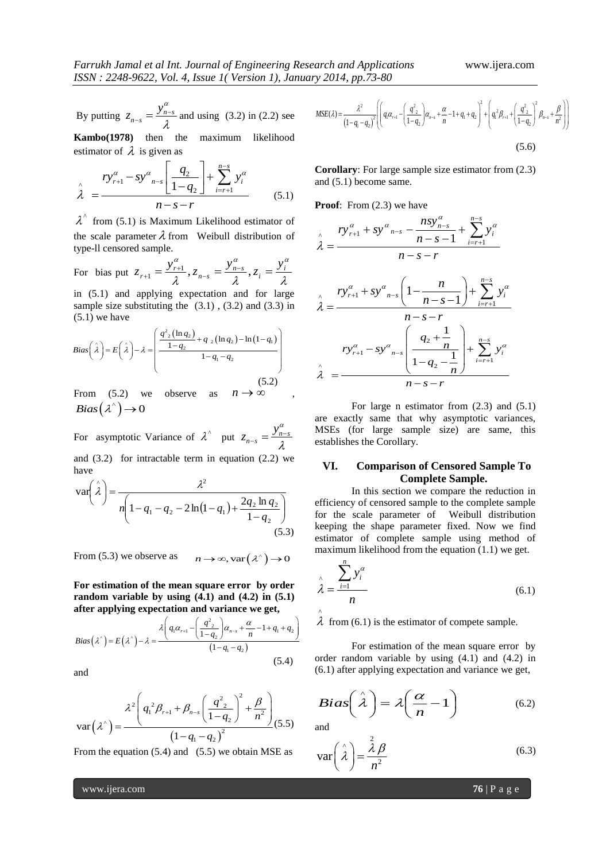By putting  $z_{n-s} = \frac{y_{n-s}}{2}$  $z_{n-s} = \frac{y_n^{\alpha}}{a}$ λ  $a_{-s} = \frac{y_{n-s}}{2}$  and using (3.2) in (2.2) see

**Kambo(1978)** then the maximum likelihood estimator of  $\lambda$  is given as

estimator of 
$$
\lambda
$$
 is given as  
\n
$$
\lambda = \frac{ry_{r+1}^{\alpha} - sy_{n-s}^{\alpha} \left[ \frac{q_2}{1-q_2} \right] + \sum_{i=r+1}^{n-s} y_i^{\alpha}}{n-s-r}
$$
\n(5.1)

 $\lambda^{\hat{ }}$  from (5.1) is Maximum Likelihood estimator of the scale parameter  $\lambda$  from Weibull distribution of type-ll censored sample.

For bias put 
$$
z_{r+1} = \frac{y_{r+1}^{\alpha}}{\lambda}, z_{n-s} = \frac{y_{n-s}^{\alpha}}{\lambda}, z_i = \frac{y_i^{\alpha}}{\lambda}
$$

in (5.1) and applying expectation and for large sample size substituting the (3.1), (3.2) and (3.3) in<br>
(5.1) we have<br>  $\left(\frac{q^2_2(\ln q_2)}{q^2_2(\ln q_2)} + q_2(\ln q_2) - \ln(1-q_1)\right)$ (5.1) we have

(5.1) we have  
\n
$$
Bias\left(\hat{\lambda}\right) = E\left(\hat{\lambda}\right) - \lambda = \left(\frac{q^2(ln q_2)}{1 - q_2} + q(ln q_2) - \ln(1 - q_1)}{1 - q_1 - q_2}\right)
$$
\n(5.2)

From  $(5.2)$  we observe as  $n \to \infty$  $Bias(\lambda^*)\to 0$ 

For asymptotic Variance of  $\lambda^{\wedge}$  put  $z_{n-s} = \frac{y_{n-s}}{2}$  $z_{n-s} = \frac{y_n^{\alpha}}{a}$ λ  $\frac{y_{n-1}}{2} = \frac{y_{n-1}}{2}$ 

and  $(3.2)$  for intractable term in equation  $(2.2)$  we have

$$
\text{var}\left(\hat{\lambda}\right) = \frac{\lambda^2}{n\left(1 - q_1 - q_2 - 2\ln(1 - q_1) + \frac{2q_2 \ln q_2}{1 - q_2}\right)}
$$
\n(5.3)

From (5.3) we observe as  $n \to \infty$ , var  $(\lambda^{\wedge}) \to 0$ 

**For estimation of the mean square error by order random variable by using (4.1) and (4.2) in (5.1)** 

random variable by using (4.1) and (4.2) in (5.1)  
\nafter applying expectation and variance we get,  
\n
$$
Bias(\lambda^*) = E(\lambda^*) - \lambda = \frac{\lambda \left( q_1 \alpha_{r+1} - \left( \frac{q^2}{1-q_2} \right) \alpha_{r-s} + \frac{\alpha}{n} - 1 + q_1 + q_2 \right)}{(1-q_1 - q_2)} \quad \lambda \text{ if}
$$
\n
$$
(5.4) \qquad \text{orde}
$$

and

$$
\text{var}\left(\lambda^{\hat{ }}\right) = \frac{\lambda^{2} \left(q_{1}^{2} \beta_{r+1} + \beta_{n-s} \left(\frac{q_{2}^{2}}{1-q_{2}}\right)^{2} + \frac{\beta}{n^{2}}\right)}{\left(1-q_{1}-q_{2}\right)^{2}}(5.5)
$$

From the equation  $(5.4)$  and  $(5.5)$  we obtain MSE as

$$
y \ 2014, pp.73-80
$$
\n
$$
MSE(\lambda) = \frac{\lambda^2}{(1-q_1-q_2)^2} \left[ \left( q_1 \alpha_{r+1} - \left( \frac{q_{2}^2}{1-q_2} \right) \alpha_{n-s} + \frac{\alpha}{n} - 1 + q_1 + q_2 \right)^2 + \left( q_1^2 \beta_{r+1} + \left( \frac{q_{2}^2}{1-q_2} \right)^2 \beta_{n-s} + \frac{\beta}{n^2} \right) \right]
$$
\n(5.6)

**Corollary**: For large sample size estimator from (2.3) and (5.1) become same.

**Proof:** From (2.3) we have

$$
\lambda = \frac{ry_{r+1}^{\alpha} + sy_{n-s}^{\alpha} - \frac{nsy_{n-s}^{\alpha}}{n-s-1} + \sum_{i=r+1}^{n-s} y_i^{\alpha}}{n-s-r}
$$

$$
\lambda = \frac{ry_{r+1}^{\alpha} + sy_{n-s}^{\alpha} \left(1 - \frac{n}{n-s-1}\right) + \sum_{i=r+1}^{n-s} y_i^{\alpha}}{n-s-r}
$$

$$
ry_{r+1}^{\alpha} - sy_{n-s}^{\alpha} \left(\frac{q_2 + \frac{1}{n}}{1 - q_2 - \frac{1}{n}}\right) + \sum_{i=r+1}^{n-s} y_i^{\alpha}
$$

$$
\lambda = \frac{n-s-r}{n-s-r}
$$

For large n estimator from (2.3) and (5.1) are exactly same that why asymptotic variances, MSEs (for large sample size) are same, this establishes the Corollary.

#### **VI. Comparison of Censored Sample To Complete Sample.**

In this section we compare the reduction in efficiency of censored sample to the complete sample for the scale parameter of Weibull distribution keeping the shape parameter fixed. Now we find estimator of complete sample using method of maximum likelihood from the equation (1.1) we get.

$$
\lambda = \frac{\sum_{i=1}^{n} y_i^{\alpha}}{n}
$$
\n(6.1)

 $\lambda$  from (6.1) is the estimator of compete sample.

For estimation of the mean square error by order random variable by using (4.1) and (4.2) in (6.1) after applying expectation and variance we get,

$$
Bias\left(\hat{\lambda}\right) = \lambda \left(\frac{\alpha}{n} - 1\right) \tag{6.2}
$$

and

^

$$
\text{var}\left(\hat{\lambda}\right) = \frac{\lambda}{n^2} \tag{6.3}
$$

www.ijera.com **76** | P a g e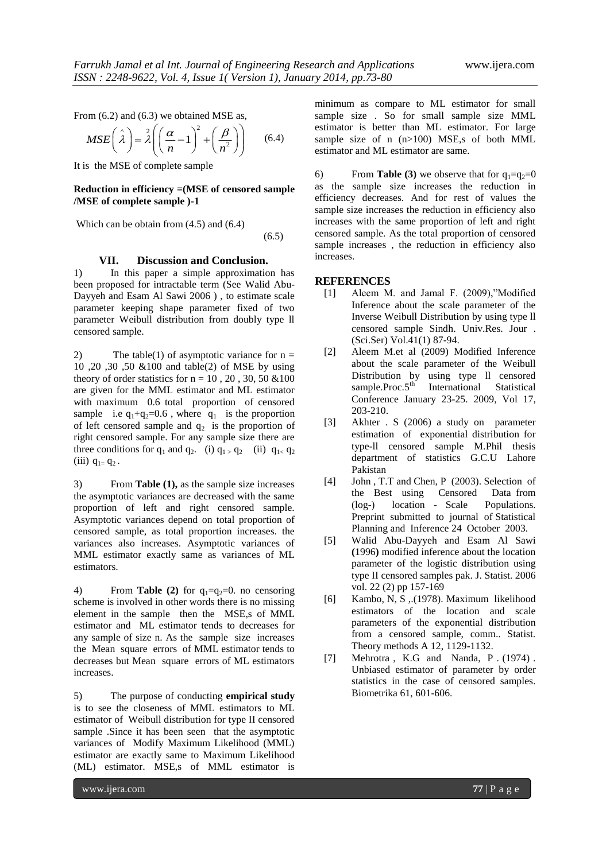From (6.2) and (6.3) we obtained MSE as,  
\n
$$
MSE\left(\hat{\lambda}\right) = \hat{\lambda}\left(\left(\frac{\alpha}{n} - 1\right)^2 + \left(\frac{\beta}{n^2}\right)\right)
$$
\n(6.4)

It is the MSE of complete sample

#### **Reduction in efficiency =(MSE of censored sample /MSE of complete sample )-1**

Which can be obtain from (4.5) and (6.4)

(6.5)

#### **VII. Discussion and Conclusion.**

1) In this paper a simple approximation has been proposed for intractable term (See Walid Abu-Dayyeh and Esam Al Sawi 2006 ) , to estimate scale parameter keeping shape parameter fixed of two parameter Weibull distribution from doubly type ll censored sample.

2) The table(1) of asymptotic variance for  $n =$ 10 ,20 ,30 ,50 &100 and table(2) of MSE by using theory of order statistics for  $n = 10$ , 20, 30, 50  $\& 100$ are given for the MML estimator and ML estimator with maximum 0.6 total proportion of censored sample i.e  $q_1+q_2=0.6$ , where  $q_1$  is the proportion of left censored sample and  $q_2$  is the proportion of right censored sample. For any sample size there are three conditions for  $q_1$  and  $q_2$ . (i)  $q_1 > q_2$  (ii)  $q_1 < q_2$ (iii)  $q_{1} = q_2$ .

3) From **Table (1),** as the sample size increases the asymptotic variances are decreased with the same proportion of left and right censored sample. Asymptotic variances depend on total proportion of censored sample, as total proportion increases. the variances also increases. Asymptotic variances of MML estimator exactly same as variances of ML estimators.

4) From **Table (2)** for  $q_1 = q_2 = 0$ . no censoring scheme is involved in other words there is no missing element in the sample then the MSE,s of MML estimator and ML estimator tends to decreases for any sample of size n. As the sample size increases the Mean square errors of MML estimator tends to decreases but Mean square errors of ML estimators increases.

5) The purpose of conducting **empirical study** is to see the closeness of MML estimators to ML estimator of Weibull distribution for type II censored sample .Since it has been seen that the asymptotic variances of Modify Maximum Likelihood (MML) estimator are exactly same to Maximum Likelihood (ML) estimator. MSE,s of MML estimator is

minimum as compare to ML estimator for small sample size . So for small sample size MML estimator is better than ML estimator. For large sample size of n  $(n>100)$  MSE, s of both MML estimator and ML estimator are same.

6) From **Table (3)** we observe that for  $q_1 = q_2 = 0$ as the sample size increases the reduction in efficiency decreases. And for rest of values the sample size increases the reduction in efficiency also increases with the same proportion of left and right censored sample. As the total proportion of censored sample increases , the reduction in efficiency also increases.

#### **REFERENCES**

- [1] Aleem M. and Jamal F. (2009),"Modified Inference about the scale parameter of the Inverse Weibull Distribution by using type ll censored sample Sindh. Univ.Res. Jour . (Sci.Ser) Vol.41(1) 87-94.
- [2] Aleem M.et al (2009) Modified Inference about the scale parameter of the Weibull Distribution by using type ll censored sample.Proc. $5<sup>th</sup>$  International Statistical Conference January 23-25. 2009, Vol 17, 203-210.
- [3] Akhter . S (2006) a study on parameter estimation of exponential distribution for type-ll censored sample M.Phil thesis department of statistics G.C.U Lahore Pakistan
- [4] John, T.T and Chen, P (2003). Selection of the Best using Censored Data from (log-) location - Scale Populations. Preprint submitted to journal of Statistical Planning and Inference 24 October 2003.
- [5] Walid Abu-Dayyeh and Esam Al Sawi **(**1996**)** modified inference about the location parameter of the logistic distribution using type II censored samples pak. J. Statist. 2006 vol. 22 (2) pp 157-169
- [6] Kambo, N, S ,.(1978). Maximum likelihood estimators of the location and scale parameters of the exponential distribution from a censored sample, comm.. Statist. Theory methods A 12, 1129-1132.
- [7] Mehrotra, K.G and Nanda, P. (1974). Unbiased estimator of parameter by order statistics in the case of censored samples. Biometrika 61, 601-606.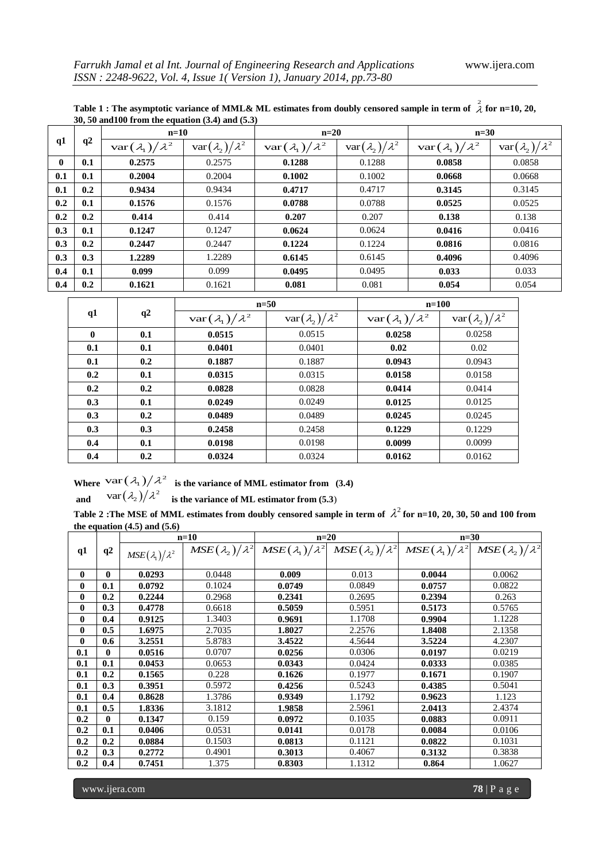|     | q2  | $n=10$                            |                                   | $n=20$                            |                                   | $n=30$                            |                                   |  |
|-----|-----|-----------------------------------|-----------------------------------|-----------------------------------|-----------------------------------|-----------------------------------|-----------------------------------|--|
| q1  |     | $\text{var}(\lambda_1)/\lambda^2$ | $\text{var}(\lambda_2)/\lambda^2$ | $\text{var}(\lambda_1)/\lambda^2$ | $\text{var}(\lambda_2)/\lambda^2$ | $\text{var}(\lambda_1)/\lambda^2$ | $\text{var}(\lambda_2)/\lambda^2$ |  |
| 0   | 0.1 | 0.2575                            | 0.2575                            | 0.1288                            | 0.1288                            | 0.0858                            | 0.0858                            |  |
| 0.1 | 0.1 | 0.2004                            | 0.2004                            | 0.1002                            | 0.1002                            | 0.0668                            | 0.0668                            |  |
| 0.1 | 0.2 | 0.9434                            | 0.9434                            | 0.4717                            | 0.4717                            | 0.3145                            | 0.3145                            |  |
| 0.2 | 0.1 | 0.1576                            | 0.1576                            | 0.0788                            | 0.0788                            | 0.0525                            | 0.0525                            |  |
| 0.2 | 0.2 | 0.414                             | 0.414                             | 0.207                             | 0.207                             | 0.138                             | 0.138                             |  |
| 0.3 | 0.1 | 0.1247                            | 0.1247                            | 0.0624                            | 0.0624                            | 0.0416                            | 0.0416                            |  |
| 0.3 | 0.2 | 0.2447                            | 0.2447                            | 0.1224                            | 0.1224                            | 0.0816                            | 0.0816                            |  |
| 0.3 | 0.3 | 1.2289                            | 1.2289                            | 0.6145                            | 0.6145                            | 0.4096                            | 0.4096                            |  |
| 0.4 | 0.1 | 0.099                             | 0.099                             | 0.0495                            | 0.0495                            | 0.033                             | 0.033                             |  |
| 0.4 | 0.2 | 0.1621                            | 0.1621                            | 0.081                             | 0.081                             | 0.054                             | 0.054                             |  |

**Table 1 : The asymptotic variance of MML& ML estimates from doubly censored sample in term of**  2 **for n=10, 20, 30, 50 and100 from the equation (3.4) and (5.3)**

|              | q2  |                                   | $n=50$                            | $n=100$                           |                                   |  |  |
|--------------|-----|-----------------------------------|-----------------------------------|-----------------------------------|-----------------------------------|--|--|
| q1           |     | $\text{var}(\lambda_1)/\lambda^2$ | $\text{var}(\lambda_2)/\lambda^2$ | $\text{var}(\lambda_1)/\lambda^2$ | $\text{var}(\lambda_2)/\lambda^2$ |  |  |
| $\mathbf{0}$ | 0.1 | 0.0515                            | 0.0515                            | 0.0258                            | 0.0258                            |  |  |
| 0.1          | 0.1 | 0.0401                            | 0.0401                            | 0.02                              | 0.02                              |  |  |
| 0.1          | 0.2 | 0.1887                            | 0.1887                            | 0.0943                            | 0.0943                            |  |  |
| 0.2          | 0.1 | 0.0315                            | 0.0315                            | 0.0158                            | 0.0158                            |  |  |
| 0.2          | 0.2 | 0.0828                            | 0.0828                            | 0.0414                            | 0.0414                            |  |  |
| 0.3          | 0.1 | 0.0249                            | 0.0249                            | 0.0125                            | 0.0125                            |  |  |
| 0.3          | 0.2 | 0.0489                            | 0.0489                            | 0.0245                            | 0.0245                            |  |  |
| 0.3          | 0.3 | 0.2458                            | 0.2458                            | 0.1229                            | 0.1229                            |  |  |
| 0.4          | 0.1 | 0.0198                            | 0.0198                            | 0.0099                            | 0.0099                            |  |  |
| 0.4          | 0.2 | 0.0324                            | 0.0324                            | 0.0162                            | 0.0162                            |  |  |

Where  $\text{var}(\lambda_1)/\lambda^2$  is the variance of MML estimator from (3.4) and  $\text{var}(\lambda_2)/\lambda^2$  is the variance of ML estimator from (5.3)

Table 2 : The MSE of MML estimates from doubly censored sample in term of  $\lambda^2$  for n=10, 20, 30, 50 and 100 from

| the equation $(4.5)$ and $(5.6)$ |     |                            |                            |                            |                            |                            |                            |  |  |
|----------------------------------|-----|----------------------------|----------------------------|----------------------------|----------------------------|----------------------------|----------------------------|--|--|
|                                  |     | $n=10$                     |                            |                            | $n=20$                     |                            | $n=30$                     |  |  |
| q1                               | q2  | $MSE(\lambda_1)/\lambda^2$ | $MSE(\lambda_2)/\lambda^2$ | $MSE(\lambda_1)/\lambda^2$ | $MSE(\lambda_2)/\lambda^2$ | $MSE(\lambda_1)/\lambda^2$ | $MSE(\lambda_2)/\lambda^2$ |  |  |
| $\mathbf{0}$                     | 0   | 0.0293                     | 0.0448                     | 0.009                      | 0.013                      | 0.0044                     | 0.0062                     |  |  |
| $\mathbf{0}$                     | 0.1 | 0.0792                     | 0.1024                     | 0.0749                     | 0.0849                     | 0.0757                     | 0.0822                     |  |  |
| $\bf{0}$                         | 0.2 | 0.2244                     | 0.2968                     | 0.2341                     | 0.2695                     | 0.2394                     | 0.263                      |  |  |
| $\bf{0}$                         | 0.3 | 0.4778                     | 0.6618                     | 0.5059                     | 0.5951                     | 0.5173                     | 0.5765                     |  |  |
| $\mathbf{0}$                     | 0.4 | 0.9125                     | 1.3403                     | 0.9691                     | 1.1708                     | 0.9904                     | 1.1228                     |  |  |
| $\bf{0}$                         | 0.5 | 1.6975                     | 2.7035                     | 1.8027                     | 2.2576                     | 1.8408                     | 2.1358                     |  |  |
| $\mathbf{0}$                     | 0.6 | 3.2551                     | 5.8783                     | 3.4522                     | 4.5644                     | 3.5224                     | 4.2307                     |  |  |
| 0.1                              | 0   | 0.0516                     | 0.0707                     | 0.0256                     | 0.0306                     | 0.0197                     | 0.0219                     |  |  |
| 0.1                              | 0.1 | 0.0453                     | 0.0653                     | 0.0343                     | 0.0424                     | 0.0333                     | 0.0385                     |  |  |
| 0.1                              | 0.2 | 0.1565                     | 0.228                      | 0.1626                     | 0.1977                     | 0.1671                     | 0.1907                     |  |  |
| 0.1                              | 0.3 | 0.3951                     | 0.5972                     | 0.4256                     | 0.5243                     | 0.4385                     | 0.5041                     |  |  |
| 0.1                              | 0.4 | 0.8628                     | 1.3786                     | 0.9349                     | 1.1792                     | 0.9623                     | 1.123                      |  |  |
| 0.1                              | 0.5 | 1.8336                     | 3.1812                     | 1.9858                     | 2.5961                     | 2.0413                     | 2.4374                     |  |  |
| 0.2                              | 0   | 0.1347                     | 0.159                      | 0.0972                     | 0.1035                     | 0.0883                     | 0.0911                     |  |  |
| 0.2                              | 0.1 | 0.0406                     | 0.0531                     | 0.0141                     | 0.0178                     | 0.0084                     | 0.0106                     |  |  |
| 0.2                              | 0.2 | 0.0884                     | 0.1503                     | 0.0813                     | 0.1121                     | 0.0822                     | 0.1031                     |  |  |
| 0.2                              | 0.3 | 0.2772                     | 0.4901                     | 0.3013                     | 0.4067                     | 0.3132                     | 0.3838                     |  |  |
| 0.2                              | 0.4 | 0.7451                     | 1.375                      | 0.8303                     | 1.1312                     | 0.864                      | 1.0627                     |  |  |

www.ijera.com **78** | P a g e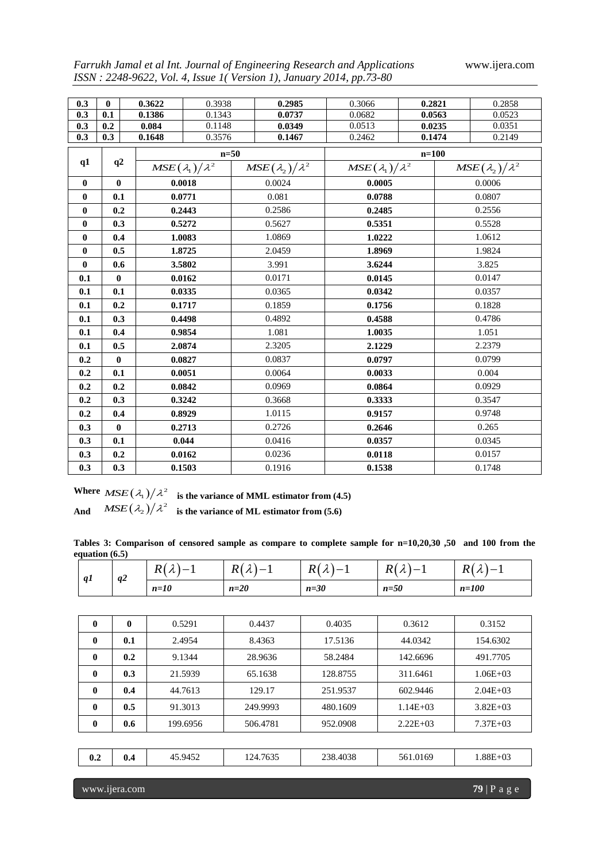*Farrukh Jamal et al Int. Journal of Engineering Research and Applications* www.ijera.com

| 0.3          | $\mathbf{0}$     |  | 0.3622                     | 0.3938 | 0.2985                     | 0.3066                     | 0.2821    |                            | 0.2858 |
|--------------|------------------|--|----------------------------|--------|----------------------------|----------------------------|-----------|----------------------------|--------|
| 0.3          | 0.1              |  | 0.1386                     | 0.1343 | 0.0737                     | 0.0682                     | 0.0563    |                            | 0.0523 |
| 0.3          | 0.2              |  | 0.084                      | 0.1148 | 0.0349                     | 0.0513                     | 0.0235    |                            | 0.0351 |
| 0.3          | 0.3              |  | 0.1648                     | 0.3576 | 0.1467                     | 0.2462                     |           | 0.2149<br>0.1474           |        |
|              | q2               |  | $n=50$                     |        |                            |                            | $n = 100$ |                            |        |
| q1           |                  |  | $MSE(\lambda_1)/\lambda^2$ |        | $MSE(\lambda_2)/\lambda^2$ | $MSE(\lambda_1)/\lambda^2$ |           | $MSE(\lambda_2)/\lambda^2$ |        |
| $\bf{0}$     | $\bf{0}$         |  | 0.0018                     |        | 0.0024                     | 0.0005                     |           | 0.0006                     |        |
| $\bf{0}$     | 0.1              |  |                            | 0.0771 | 0.081                      | 0.0788                     |           |                            | 0.0807 |
| $\bf{0}$     | 0.2              |  |                            | 0.2443 | 0.2586                     | 0.2485                     |           |                            | 0.2556 |
| $\bf{0}$     | 0.3              |  |                            | 0.5272 | 0.5627                     | 0.5351                     |           |                            | 0.5528 |
| $\bf{0}$     | 0.4              |  |                            | 1.0083 | 1.0869                     | 1.0222                     |           |                            | 1.0612 |
| $\mathbf{0}$ | 0.5              |  |                            | 1.8725 | 2.0459                     | 1.8969                     |           |                            | 1.9824 |
| $\bf{0}$     | 0.6              |  | 3.5802                     |        | 3.991                      | 3.6244                     |           | 3.825                      |        |
| 0.1          | $\boldsymbol{0}$ |  |                            | 0.0162 | 0.0171                     | 0.0145                     |           | 0.0147                     |        |
| 0.1          | 0.1              |  | 0.0335                     |        | 0.0365                     | 0.0342                     |           | 0.0357                     |        |
| 0.1          | 0.2              |  | 0.1717                     |        | 0.1859                     | 0.1756                     |           |                            | 0.1828 |
| 0.1          | 0.3              |  | 0.4498                     |        | 0.4892                     | 0.4588                     |           |                            | 0.4786 |
| 0.1          | 0.4              |  |                            | 0.9854 | 1.081                      | 1.0035                     |           |                            | 1.051  |
| 0.1          | 0.5              |  |                            | 2.0874 | 2.3205                     | 2.1229                     |           |                            | 2.2379 |
| 0.2          | $\boldsymbol{0}$ |  |                            | 0.0827 | 0.0837                     | 0.0797                     |           |                            | 0.0799 |
| 0.2          | 0.1              |  |                            | 0.0051 | 0.0064                     | 0.0033                     |           |                            | 0.004  |
| 0.2          | 0.2              |  |                            | 0.0842 | 0.0969                     | 0.0864                     |           | 0.0929                     |        |
| 0.2          | 0.3              |  | 0.3242                     |        | 0.3668                     | 0.3333                     |           | 0.3547                     |        |
| 0.2          | 0.4              |  | 0.8929                     |        | 1.0115                     | 0.9157                     |           |                            | 0.9748 |
| 0.3          | $\bf{0}$         |  | 0.2713                     |        | 0.2726                     | 0.2646                     |           |                            | 0.265  |
| 0.3          | 0.1              |  | 0.044                      |        | 0.0416                     | 0.0357                     |           |                            | 0.0345 |
| 0.3          | 0.2              |  | 0.0162                     |        | 0.0236                     | 0.0118                     |           |                            | 0.0157 |
| 0.3          | 0.3              |  | 0.1503                     |        | 0.1916                     | 0.1538                     |           | 0.1748                     |        |

*ISSN : 2248-9622, Vol. 4, Issue 1( Version 1), January 2014, pp.73-80*

Where  $MSE(\lambda_1)/\lambda^2$  is the variance of MML estimator from (4.5) **And**   $MSE(\lambda_2)/\lambda^2$  is the variance of ML estimator from (5.6)

**Tables 3: Comparison of censored sample as compare to complete sample for n=10,20,30 ,50 and 100 from the equation (6.5)**

| q1           | q2       | $R(\lambda)-1$ | $R(\lambda)-1$ | $R(\lambda)-1$ | $R(\lambda)-1$ | $R(\lambda)-1$ |
|--------------|----------|----------------|----------------|----------------|----------------|----------------|
|              |          | $n=10$         | $n=20$         | $n=30$         | $n=50$         | $n=100$        |
|              |          |                |                |                |                |                |
| $\bf{0}$     | $\bf{0}$ | 0.5291         | 0.4437         | 0.4035         | 0.3612         | 0.3152         |
| $\mathbf{0}$ | 0.1      | 2.4954         | 8.4363         | 17.5136        | 44.0342        | 154.6302       |
| $\bf{0}$     | 0.2      | 9.1344         | 28.9636        | 58.2484        | 142.6696       | 491.7705       |
| $\bf{0}$     | 0.3      | 21.5939        | 65.1638        | 128.8755       | 311.6461       | $1.06E + 03$   |
| $\bf{0}$     | 0.4      | 44.7613        | 129.17         | 251.9537       | 602.9446       | $2.04E + 03$   |
| $\mathbf{0}$ | 0.5      | 91.3013        | 249.9993       | 480.1609       | $1.14E + 03$   | $3.82E + 03$   |
| $\bf{0}$     | 0.6      | 199.6956       | 506.4781       | 952.0908       | $2.22E+03$     | $7.37E + 03$   |
|              |          |                |                |                |                |                |
| 0.2          | 0.4      | 45.9452        | 124.7635       | 238.4038       | 561.0169       | $1.88E + 03$   |

www.ijera.com **79** | P a g e